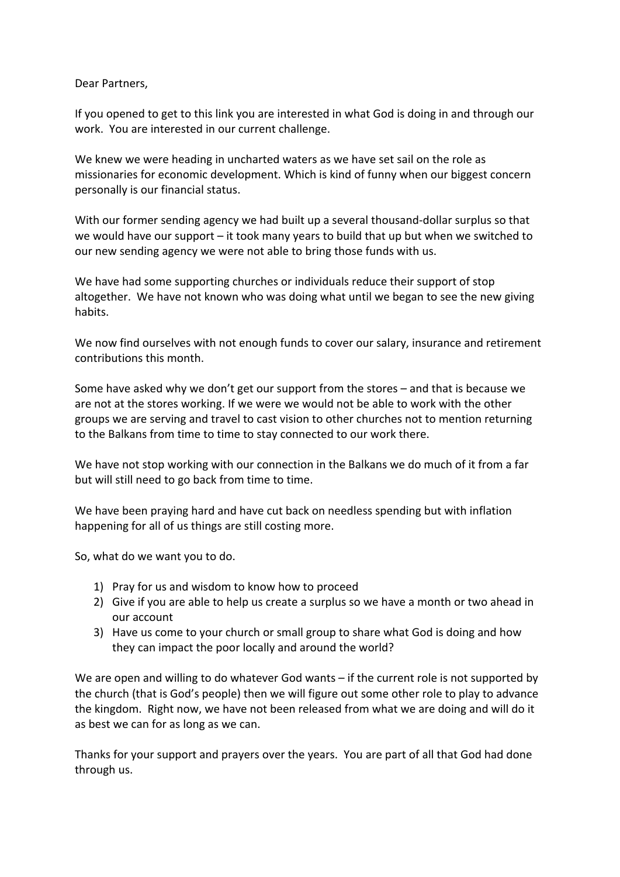Dear Partners,

If you opened to get to this link you are interested in what God is doing in and through our work. You are interested in our current challenge.

We knew we were heading in uncharted waters as we have set sail on the role as missionaries for economic development. Which is kind of funny when our biggest concern personally is our financial status.

With our former sending agency we had built up a several thousand-dollar surplus so that we would have our support – it took many years to build that up but when we switched to our new sending agency we were not able to bring those funds with us.

We have had some supporting churches or individuals reduce their support of stop altogether. We have not known who was doing what until we began to see the new giving habits.

We now find ourselves with not enough funds to cover our salary, insurance and retirement contributions this month.

Some have asked why we don't get our support from the stores  $-$  and that is because we are not at the stores working. If we were we would not be able to work with the other groups we are serving and travel to cast vision to other churches not to mention returning to the Balkans from time to time to stay connected to our work there.

We have not stop working with our connection in the Balkans we do much of it from a far but will still need to go back from time to time.

We have been praying hard and have cut back on needless spending but with inflation happening for all of us things are still costing more.

So, what do we want you to do.

- 1) Pray for us and wisdom to know how to proceed
- 2) Give if you are able to help us create a surplus so we have a month or two ahead in our account
- 3) Have us come to your church or small group to share what God is doing and how they can impact the poor locally and around the world?

We are open and willing to do whatever God wants  $-$  if the current role is not supported by the church (that is God's people) then we will figure out some other role to play to advance the kingdom. Right now, we have not been released from what we are doing and will do it as best we can for as long as we can.

Thanks for your support and prayers over the years. You are part of all that God had done through us.